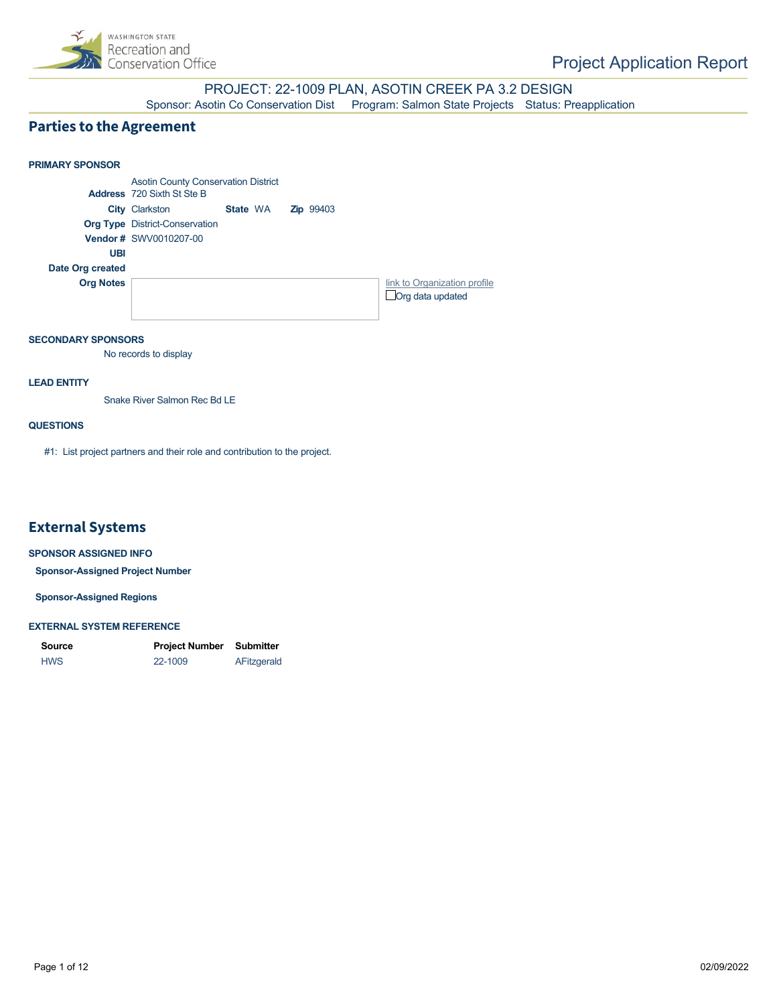

PROJECT: 22-1009 PLAN, ASOTIN CREEK PA 3.2 DESIGN Sponsor: Asotin Co Conservation Dist Program: Salmon State Projects Status: Preapplication

### **Parties to the Agreement**

### **PRIMARY SPONSOR** Asotin County Conservation District **Address** 720 Sixth St Ste B **City** Clarkston **State** WA **Zip** 99403 **Org Type** District-Conservation **Vendor #** SWV0010207-00 **UBI Date Org created Org Notes [link to Organization profile](https://secure.rco.wa.gov/PRISM/Sponsor/My/Organization/Index/1109) Org data updated** State WA

#### **SECONDARY SPONSORS**

No records to display

#### **LEAD ENTITY**

Snake River Salmon Rec Bd LE

#### **QUESTIONS**

#1: List project partners and their role and contribution to the project.

### **External Systems**

#### **SPONSOR ASSIGNED INFO**

**Sponsor-Assigned Project Number**

**Sponsor-Assigned Regions**

#### **EXTERNAL SYSTEM REFERENCE**

| <b>Source</b> | <b>Project Number</b> | Submitter   |
|---------------|-----------------------|-------------|
| <b>HWS</b>    | 22-1009               | AFitzgerald |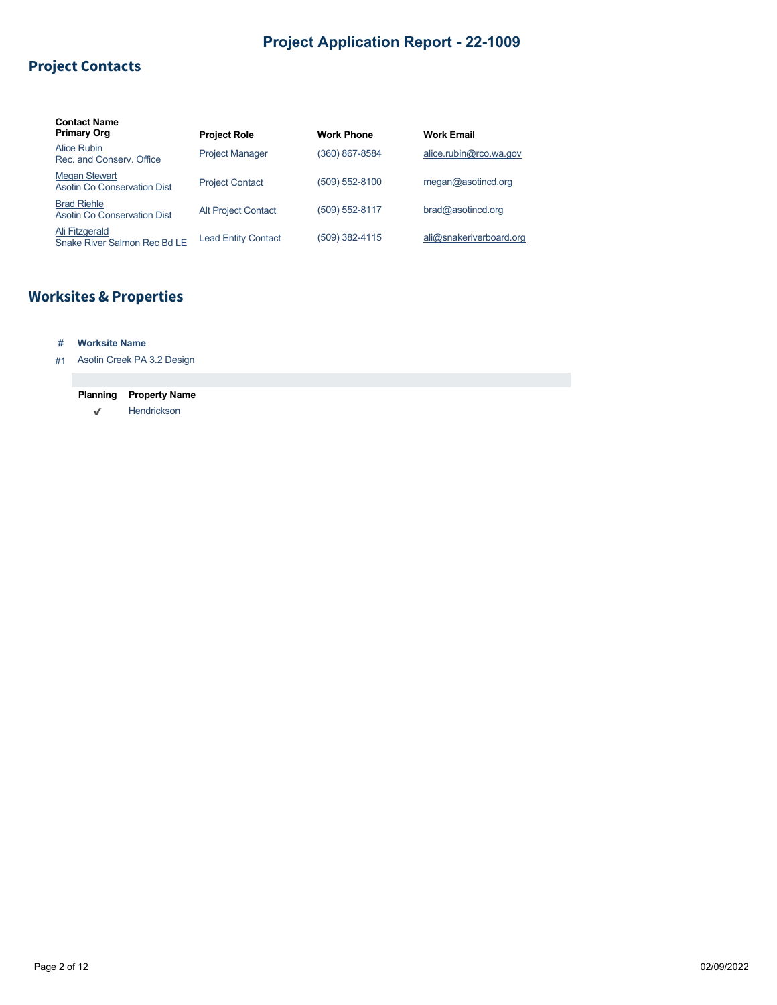## **Project Contacts**

| <b>Contact Name</b><br><b>Primary Org</b>           | <b>Project Role</b>        | <b>Work Phone</b> | <b>Work Email</b>       |
|-----------------------------------------------------|----------------------------|-------------------|-------------------------|
| Alice Rubin<br>Rec. and Conserv. Office             | <b>Project Manager</b>     | (360) 867-8584    | alice.rubin@rco.wa.gov  |
| <b>Megan Stewart</b><br>Asotin Co Conservation Dist | <b>Project Contact</b>     | (509) 552-8100    | meqan@asotincd.org      |
| <b>Brad Riehle</b><br>Asotin Co Conservation Dist   | <b>Alt Project Contact</b> | (509) 552-8117    | bra@asotincd.org        |
| Ali Fitzgerald<br>Snake River Salmon Rec Bd LE      | <b>Lead Entity Contact</b> | (509) 382-4115    | ali@snakeriverboard.org |

# **Worksites & Properties**

### **# Worksite Name**

#1 Asotin Creek PA 3.2 Design

# **Planning Property Name**

 $\checkmark$ Hendrickson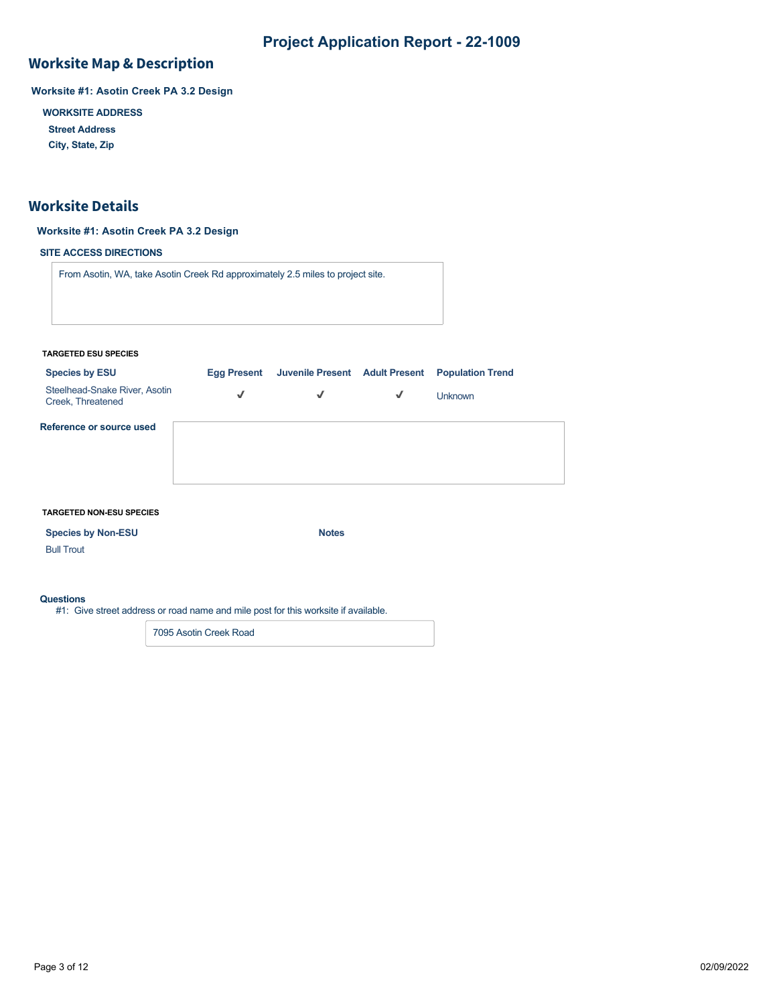### **Worksite Map & Description**

**Worksite #1: Asotin Creek PA 3.2 Design**

**WORKSITE ADDRESS**

**Street Address**

**City, State, Zip**

### **Worksite Details**

### **Worksite #1: Asotin Creek PA 3.2 Design**

### **SITE ACCESS DIRECTIONS**

From Asotin, WA, take Asotin Creek Rd approximately 2.5 miles to project site.

#### **TARGETED ESU SPECIES**

| <b>Species by ESU</b>                              | <b>Egg Present</b> |   |   | Juvenile Present Adult Present Population Trend |
|----------------------------------------------------|--------------------|---|---|-------------------------------------------------|
| Steelhead-Snake River, Asotin<br>Creek, Threatened | $\checkmark$       | √ | √ | <b>Unknown</b>                                  |
| Reference or source used                           |                    |   |   |                                                 |

#### **TARGETED NON-ESU SPECIES**

**Species by Non-ESU Notes** 

Bull Trout

#### **Questions**

#1: Give street address or road name and mile post for this worksite if available.

7095 Asotin Creek Road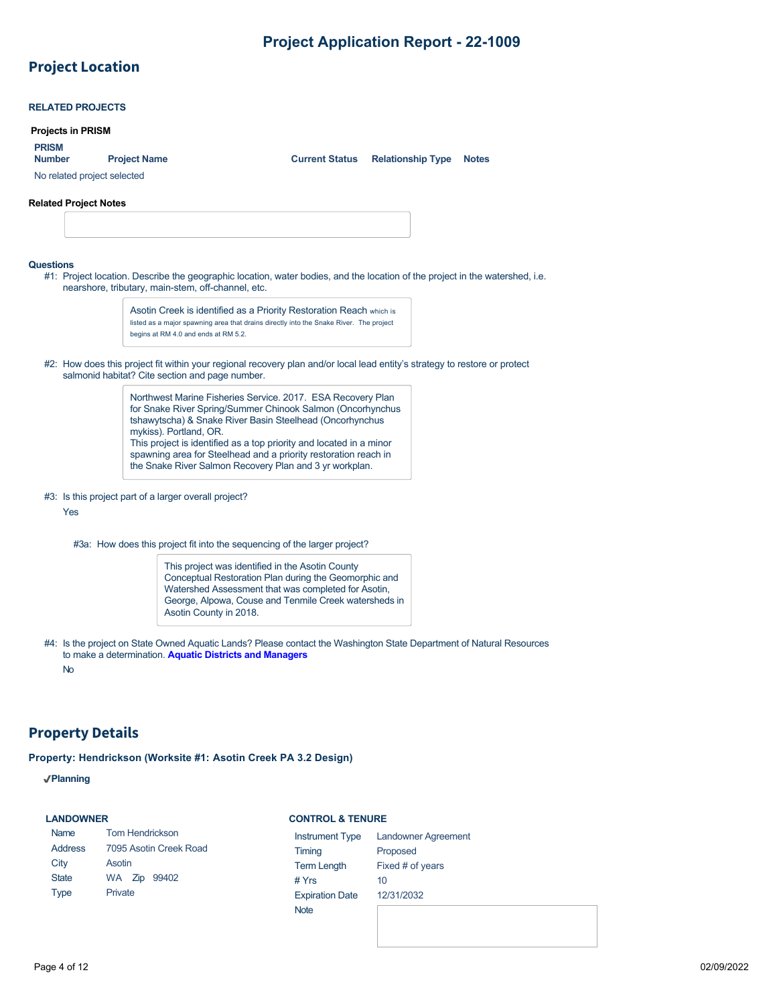# **Project Location**

|                               | <b>RELATED PROJECTS</b>      |                     |                                                                                                                                                                                                                                                                                                                                                                                                                      |                       |                          |              |
|-------------------------------|------------------------------|---------------------|----------------------------------------------------------------------------------------------------------------------------------------------------------------------------------------------------------------------------------------------------------------------------------------------------------------------------------------------------------------------------------------------------------------------|-----------------------|--------------------------|--------------|
|                               | <b>Projects in PRISM</b>     |                     |                                                                                                                                                                                                                                                                                                                                                                                                                      |                       |                          |              |
| <b>PRISM</b><br><b>Number</b> | No related project selected  | <b>Project Name</b> |                                                                                                                                                                                                                                                                                                                                                                                                                      | <b>Current Status</b> | <b>Relationship Type</b> | <b>Notes</b> |
|                               | <b>Related Project Notes</b> |                     |                                                                                                                                                                                                                                                                                                                                                                                                                      |                       |                          |              |
|                               |                              |                     |                                                                                                                                                                                                                                                                                                                                                                                                                      |                       |                          |              |
|                               |                              |                     |                                                                                                                                                                                                                                                                                                                                                                                                                      |                       |                          |              |
| <b>Questions</b>              |                              |                     | #1: Project location. Describe the geographic location, water bodies, and the location of the project in the watershed, i.e.<br>nearshore, tributary, main-stem, off-channel, etc.                                                                                                                                                                                                                                   |                       |                          |              |
|                               |                              |                     | Asotin Creek is identified as a Priority Restoration Reach which is<br>listed as a major spawning area that drains directly into the Snake River. The project<br>begins at RM 4.0 and ends at RM 5.2.                                                                                                                                                                                                                |                       |                          |              |
|                               |                              |                     | #2: How does this project fit within your regional recovery plan and/or local lead entity's strategy to restore or protect<br>salmonid habitat? Cite section and page number.                                                                                                                                                                                                                                        |                       |                          |              |
|                               |                              |                     | Northwest Marine Fisheries Service. 2017. ESA Recovery Plan<br>for Snake River Spring/Summer Chinook Salmon (Oncorhynchus<br>tshawytscha) & Snake River Basin Steelhead (Oncorhynchus<br>mykiss). Portland, OR.<br>This project is identified as a top priority and located in a minor<br>spawning area for Steelhead and a priority restoration reach in<br>the Snake River Salmon Recovery Plan and 3 yr workplan. |                       |                          |              |
|                               | Yes                          |                     | #3: Is this project part of a larger overall project?                                                                                                                                                                                                                                                                                                                                                                |                       |                          |              |
|                               |                              |                     | #3a: How does this project fit into the sequencing of the larger project?                                                                                                                                                                                                                                                                                                                                            |                       |                          |              |
|                               |                              |                     | This project was identified in the Asotin County<br>Conceptual Restoration Plan during the Geomorphic and<br>Watershed Assessment that was completed for Asotin,<br>George, Alpowa, Couse and Tenmile Creek watersheds in<br>Asotin County in 2018.                                                                                                                                                                  |                       |                          |              |
|                               | <b>No</b>                    |                     | #4: Is the project on State Owned Aquatic Lands? Please contact the Washington State Department of Natural Resources<br>to make a determination. Aquatic Districts and Managers                                                                                                                                                                                                                                      |                       |                          |              |

## **Property Details**

**Property: Hendrickson (Worksite #1: Asotin Creek PA 3.2 Design)**

**Planning**

### **LANDOWNER**

Name Address **City** State Type

#### **CONTROL & TENURE**

| <b>Tom Hendrickson</b> | <b>Instrument Type</b> | <b>Landowner Agreement</b> |
|------------------------|------------------------|----------------------------|
| 7095 Asotin Creek Road | Timing                 | Proposed                   |
| Asotin                 | <b>Term Length</b>     | Fixed # of years           |
| 99402<br>WA Zip        | # $Yrs$                | 10                         |
| Private                | <b>Expiration Date</b> | 12/31/2032                 |
|                        | <b>Note</b>            |                            |
|                        |                        |                            |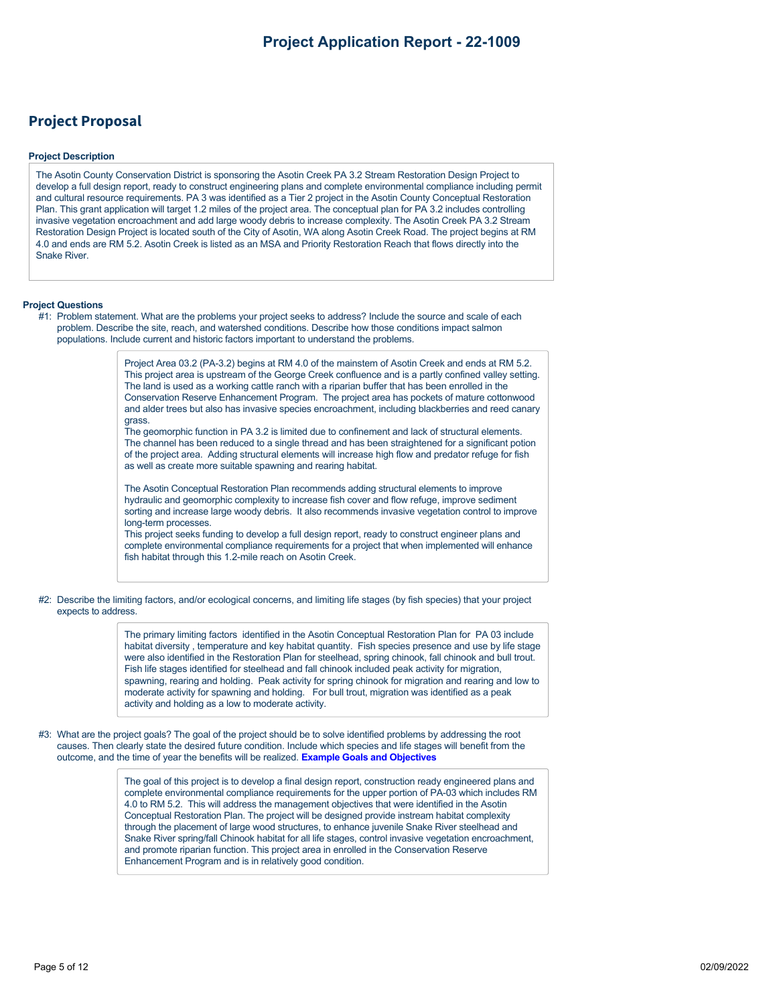### **Project Proposal**

#### **Project Description**

The Asotin County Conservation District is sponsoring the Asotin Creek PA 3.2 Stream Restoration Design Project to develop a full design report, ready to construct engineering plans and complete environmental compliance including permit and cultural resource requirements. PA 3 was identified as a Tier 2 project in the Asotin County Conceptual Restoration Plan. This grant application will target 1.2 miles of the project area. The conceptual plan for PA 3.2 includes controlling invasive vegetation encroachment and add large woody debris to increase complexity. The Asotin Creek PA 3.2 Stream Restoration Design Project is located south of the City of Asotin, WA along Asotin Creek Road. The project begins at RM 4.0 and ends are RM 5.2. Asotin Creek is listed as an MSA and Priority Restoration Reach that flows directly into the Snake River.

#### **Project Questions**

#1: Problem statement. What are the problems your project seeks to address? Include the source and scale of each problem. Describe the site, reach, and watershed conditions. Describe how those conditions impact salmon populations. Include current and historic factors important to understand the problems.

> Project Area 03.2 (PA-3.2) begins at RM 4.0 of the mainstem of Asotin Creek and ends at RM 5.2. This project area is upstream of the George Creek confluence and is a partly confined valley setting. The land is used as a working cattle ranch with a riparian buffer that has been enrolled in the Conservation Reserve Enhancement Program. The project area has pockets of mature cottonwood and alder trees but also has invasive species encroachment, including blackberries and reed canary grass.

> The geomorphic function in PA 3.2 is limited due to confinement and lack of structural elements. The channel has been reduced to a single thread and has been straightened for a significant potion of the project area. Adding structural elements will increase high flow and predator refuge for fish as well as create more suitable spawning and rearing habitat.

> The Asotin Conceptual Restoration Plan recommends adding structural elements to improve hydraulic and geomorphic complexity to increase fish cover and flow refuge, improve sediment sorting and increase large woody debris. It also recommends invasive vegetation control to improve long-term processes.

This project seeks funding to develop a full design report, ready to construct engineer plans and complete environmental compliance requirements for a project that when implemented will enhance fish habitat through this 1.2-mile reach on Asotin Creek.

#2: Describe the limiting factors, and/or ecological concerns, and limiting life stages (by fish species) that your project expects to address.

> The primary limiting factors identified in the Asotin Conceptual Restoration Plan for PA 03 include habitat diversity , temperature and key habitat quantity. Fish species presence and use by life stage were also identified in the Restoration Plan for steelhead, spring chinook, fall chinook and bull trout. Fish life stages identified for steelhead and fall chinook included peak activity for migration, spawning, rearing and holding. Peak activity for spring chinook for migration and rearing and low to moderate activity for spawning and holding. For bull trout, migration was identified as a peak activity and holding as a low to moderate activity.

#3: What are the project goals? The goal of the project should be to solve identified problems by addressing the root causes. Then clearly state the desired future condition. Include which species and life stages will benefit from the outcome, and the time of year the benefits will be realized. **[Example Goals and Objectives](https://rco.wa.gov/wp-content/uploads/2020/02/SRFB-Goals-and-Objectives-Examples.docx)**

> The goal of this project is to develop a final design report, construction ready engineered plans and complete environmental compliance requirements for the upper portion of PA-03 which includes RM 4.0 to RM 5.2. This will address the management objectives that were identified in the Asotin Conceptual Restoration Plan. The project will be designed provide instream habitat complexity through the placement of large wood structures, to enhance juvenile Snake River steelhead and Snake River spring/fall Chinook habitat for all life stages, control invasive vegetation encroachment, and promote riparian function. This project area in enrolled in the Conservation Reserve Enhancement Program and is in relatively good condition.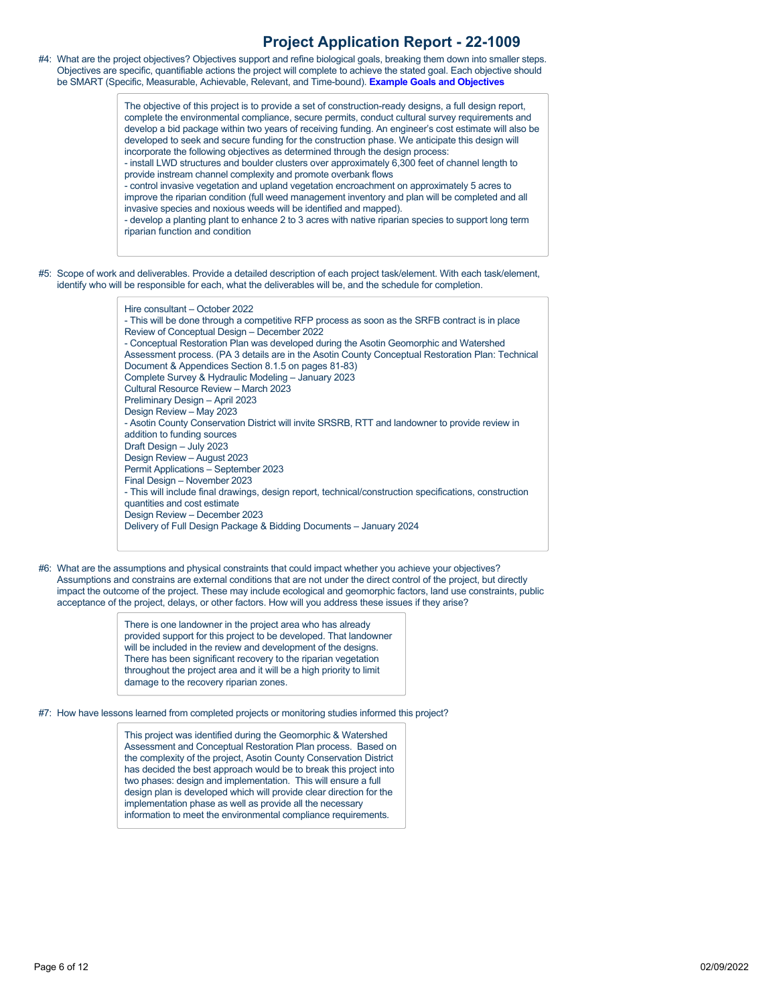#4: What are the project objectives? Objectives support and refine biological goals, breaking them down into smaller steps. Objectives are specific, quantifiable actions the project will complete to achieve the stated goal. Each objective should be SMART (Specific, Measurable, Achievable, Relevant, and Time-bound). **[Example Goals and Objectives](https://rco.wa.gov/wp-content/uploads/2020/02/SRFB-Goals-and-Objectives-Examples.docx)**

> The objective of this project is to provide a set of construction-ready designs, a full design report, complete the environmental compliance, secure permits, conduct cultural survey requirements and develop a bid package within two years of receiving funding. An engineer's cost estimate will also be developed to seek and secure funding for the construction phase. We anticipate this design will incorporate the following objectives as determined through the design process:

- install LWD structures and boulder clusters over approximately 6,300 feet of channel length to provide instream channel complexity and promote overbank flows

- control invasive vegetation and upland vegetation encroachment on approximately 5 acres to improve the riparian condition (full weed management inventory and plan will be completed and all invasive species and noxious weeds will be identified and mapped).

- develop a planting plant to enhance 2 to 3 acres with native riparian species to support long term riparian function and condition

#5: Scope of work and deliverables. Provide a detailed description of each project task/element. With each task/element, identify who will be responsible for each, what the deliverables will be, and the schedule for completion.

> Hire consultant – October 2022 - This will be done through a competitive RFP process as soon as the SRFB contract is in place Review of Conceptual Design – December 2022 - Conceptual Restoration Plan was developed during the Asotin Geomorphic and Watershed Assessment process. (PA 3 details are in the Asotin County Conceptual Restoration Plan: Technical Document & Appendices Section 8.1.5 on pages 81-83) Complete Survey & Hydraulic Modeling – January 2023 Cultural Resource Review – March 2023 Preliminary Design – April 2023 Design Review – May 2023 - Asotin County Conservation District will invite SRSRB, RTT and landowner to provide review in addition to funding sources Draft Design – July 2023 Design Review – August 2023 Permit Applications – September 2023 Final Design – November 2023 - This will include final drawings, design report, technical/construction specifications, construction quantities and cost estimate Design Review – December 2023 Delivery of Full Design Package & Bidding Documents – January 2024

#6: What are the assumptions and physical constraints that could impact whether you achieve your objectives? Assumptions and constrains are external conditions that are not under the direct control of the project, but directly impact the outcome of the project. These may include ecological and geomorphic factors, land use constraints, public acceptance of the project, delays, or other factors. How will you address these issues if they arise?

> There is one landowner in the project area who has already provided support for this project to be developed. That landowner will be included in the review and development of the designs. There has been significant recovery to the riparian vegetation throughout the project area and it will be a high priority to limit damage to the recovery riparian zones.

#7: How have lessons learned from completed projects or monitoring studies informed this project?

This project was identified during the Geomorphic & Watershed Assessment and Conceptual Restoration Plan process. Based on the complexity of the project, Asotin County Conservation District has decided the best approach would be to break this project into two phases: design and implementation. This will ensure a full design plan is developed which will provide clear direction for the implementation phase as well as provide all the necessary information to meet the environmental compliance requirements.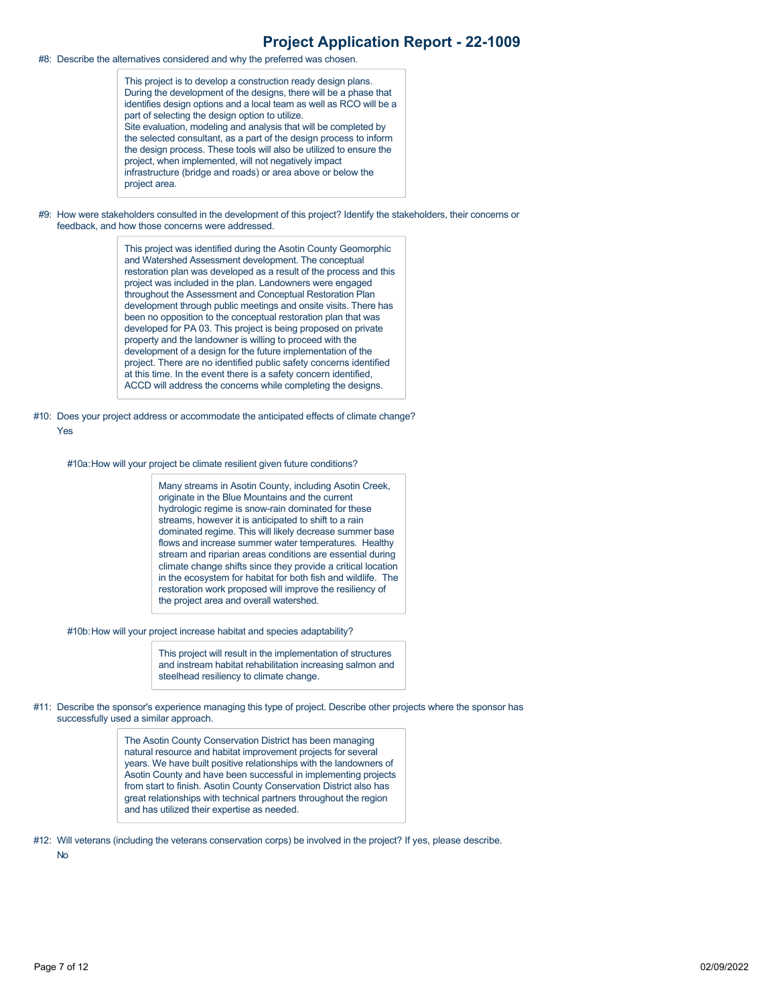#8: Describe the alternatives considered and why the preferred was chosen.

This project is to develop a construction ready design plans. During the development of the designs, there will be a phase that identifies design options and a local team as well as RCO will be a part of selecting the design option to utilize. Site evaluation, modeling and analysis that will be completed by the selected consultant, as a part of the design process to inform the design process. These tools will also be utilized to ensure the project, when implemented, will not negatively impact infrastructure (bridge and roads) or area above or below the project area.

#9: How were stakeholders consulted in the development of this project? Identify the stakeholders, their concerns or feedback, and how those concerns were addressed.

> This project was identified during the Asotin County Geomorphic and Watershed Assessment development. The conceptual restoration plan was developed as a result of the process and this project was included in the plan. Landowners were engaged throughout the Assessment and Conceptual Restoration Plan development through public meetings and onsite visits. There has been no opposition to the conceptual restoration plan that was developed for PA 03. This project is being proposed on private property and the landowner is willing to proceed with the development of a design for the future implementation of the project. There are no identified public safety concerns identified at this time. In the event there is a safety concern identified, ACCD will address the concerns while completing the designs.

#10: Does your project address or accommodate the anticipated effects of climate change? Yes

#10a:How will your project be climate resilient given future conditions?

Many streams in Asotin County, including Asotin Creek, originate in the Blue Mountains and the current hydrologic regime is snow-rain dominated for these streams, however it is anticipated to shift to a rain dominated regime. This will likely decrease summer base flows and increase summer water temperatures. Healthy stream and riparian areas conditions are essential during climate change shifts since they provide a critical location in the ecosystem for habitat for both fish and wildlife. The restoration work proposed will improve the resiliency of the project area and overall watershed.

#10b:How will your project increase habitat and species adaptability?

This project will result in the implementation of structures and instream habitat rehabilitation increasing salmon and steelhead resiliency to climate change.

#11: Describe the sponsor's experience managing this type of project. Describe other projects where the sponsor has successfully used a similar approach.

> The Asotin County Conservation District has been managing natural resource and habitat improvement projects for several years. We have built positive relationships with the landowners of Asotin County and have been successful in implementing projects from start to finish. Asotin County Conservation District also has great relationships with technical partners throughout the region and has utilized their expertise as needed.

#12: Will veterans (including the veterans conservation corps) be involved in the project? If yes, please describe.

No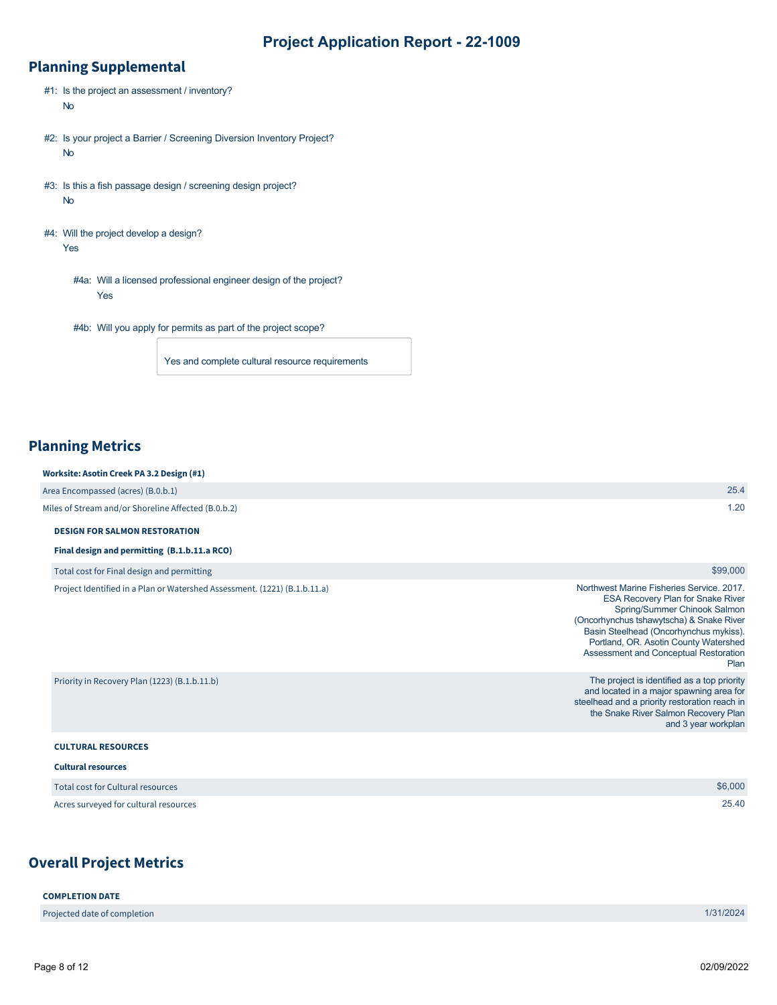## **Planning Supplemental**

- #1: Is the project an assessment / inventory? No
- #2: Is your project a Barrier / Screening Diversion Inventory Project? No
- #3: Is this a fish passage design / screening design project? No
- #4: Will the project develop a design? Yes
	- #4a: Will a licensed professional engineer design of the project? Yes
	- #4b: Will you apply for permits as part of the project scope?

Yes and complete cultural resource requirements

## **Planning Metrics**

| Worksite: Asotin Creek PA 3.2 Design (#1)                                 |                                                                                       |
|---------------------------------------------------------------------------|---------------------------------------------------------------------------------------|
| Area Encompassed (acres) (B.0.b.1)                                        | 25.4                                                                                  |
| Miles of Stream and/or Shoreline Affected (B.0.b.2)                       | 1.20                                                                                  |
| <b>DESIGN FOR SALMON RESTORATION</b>                                      |                                                                                       |
| Final design and permitting (B.1.b.11.a RCO)                              |                                                                                       |
| Total cost for Final design and permitting                                | \$99,000                                                                              |
| Project Identified in a Plan or Watershed Assessment. (1221) (B.1.b.11.a) | Northwest Marine Fisheries Service, 2017.<br><b>ESA Recovery Plan for Snake River</b> |

|                                               | Basin Steelhead (Oncorhynchus mykiss).<br>Portland, OR. Asotin County Watershed<br>Assessment and Conceptual Restoration<br>Plan                                                                        |
|-----------------------------------------------|---------------------------------------------------------------------------------------------------------------------------------------------------------------------------------------------------------|
| Priority in Recovery Plan (1223) (B.1.b.11.b) | The project is identified as a top priority<br>and located in a major spawning area for<br>steelhead and a priority restoration reach in<br>the Snake River Salmon Recovery Plan<br>and 3 year workplan |
| <b>CULTURAL RESOURCES</b>                     |                                                                                                                                                                                                         |
| <b>Cultural resources</b>                     |                                                                                                                                                                                                         |

| Total cost for Cultural resources     | \$6,000 |
|---------------------------------------|---------|
| Acres surveyed for cultural resources | 25.40   |

## **Overall Project Metrics**

| <b>COMPLETION DATE</b>       |           |
|------------------------------|-----------|
| Projected date of completion | 1/31/2024 |
|                              |           |

Spring/Summer Chinook Salmon

(Oncorhynchus tshawytscha) & Snake River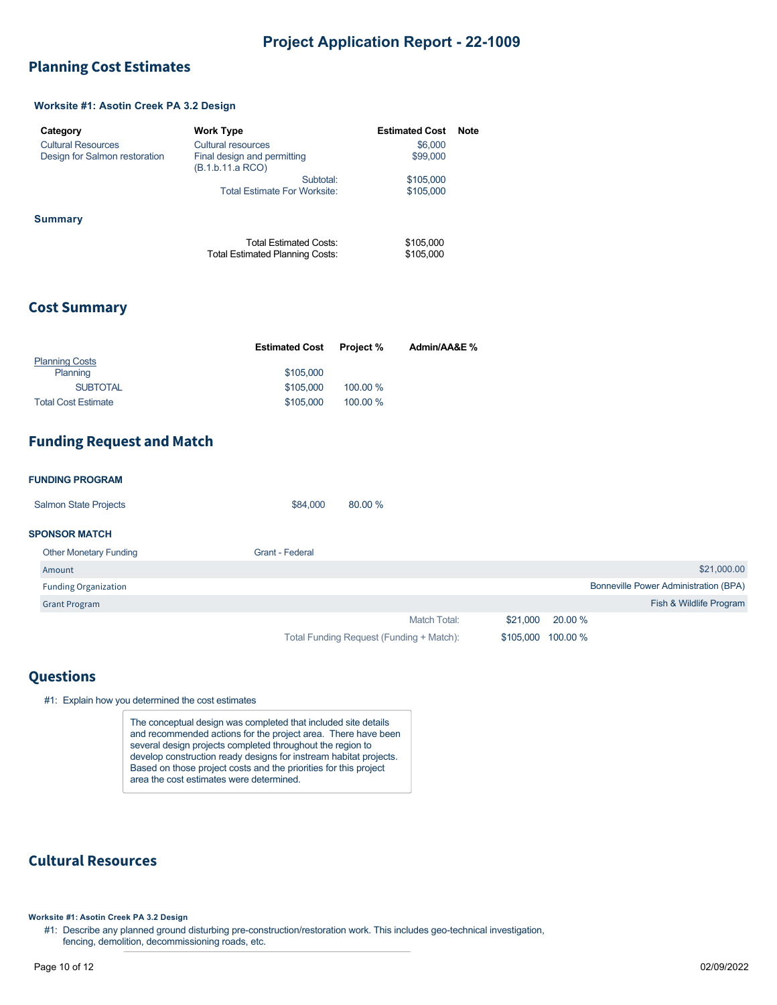### <span id="page-8-0"></span>**Planning Cost Estimates**

### **Worksite #1: Asotin Creek PA 3.2 Design**

| Category                      | <b>Work Type</b>                                                 | <b>Estimated Cost</b>  | <b>Note</b> |
|-------------------------------|------------------------------------------------------------------|------------------------|-------------|
| <b>Cultural Resources</b>     | Cultural resources                                               | \$6,000                |             |
| Design for Salmon restoration | Final design and permitting<br>(B.1.b.11.a RCO)                  | \$99,000               |             |
|                               | Subtotal:                                                        | \$105,000              |             |
|                               | <b>Total Estimate For Worksite:</b>                              | \$105,000              |             |
| Summary                       |                                                                  |                        |             |
|                               | <b>Total Estimated Costs:</b><br>Total Estimated Planning Costs: | \$105,000<br>\$105,000 |             |

### **Cost Summary**

|                            | <b>Estimated Cost</b> | <b>Project</b> % | Admin/AA&E % |
|----------------------------|-----------------------|------------------|--------------|
| <b>Planning Costs</b>      |                       |                  |              |
| Planning                   | \$105,000             |                  |              |
| <b>SUBTOTAL</b>            | \$105,000             | 100.00 %         |              |
| <b>Total Cost Estimate</b> | \$105,000             | 100.00 %         |              |

### **Funding Request and Match**

#### **FUNDING PROGRAM**

| <b>Salmon State Projects</b> | \$84.000 | 80.00 % |
|------------------------------|----------|---------|
|                              |          |         |

### **SPONSOR MATCH**

| <b>Other Monetary Funding</b> | Grant - Federal                          |                    |                                       |
|-------------------------------|------------------------------------------|--------------------|---------------------------------------|
| Amount                        |                                          |                    | \$21,000.00                           |
| <b>Funding Organization</b>   |                                          |                    | Bonneville Power Administration (BPA) |
| <b>Grant Program</b>          |                                          |                    | Fish & Wildlife Program               |
|                               | Match Total:                             | \$21,000 20.00 %   |                                       |
|                               | Total Funding Request (Funding + Match): | \$105,000 100.00 % |                                       |

## **Questions**

|  | #1: Explain how you determined the cost estimates |  |
|--|---------------------------------------------------|--|
|  |                                                   |  |

The conceptual design was completed that included site details and recommended actions for the project area. There have been several design projects completed throughout the region to develop construction ready designs for instream habitat projects. Based on those project costs and the priorities for this project area the cost estimates were determined.

## **Cultural Resources**

**Worksite #1: Asotin Creek PA 3.2 Design**

<sup>#1:</sup> Describe any planned ground disturbing pre-construction/restoration work. This includes geo-technical investigation, fencing, demolition, decommissioning roads, etc.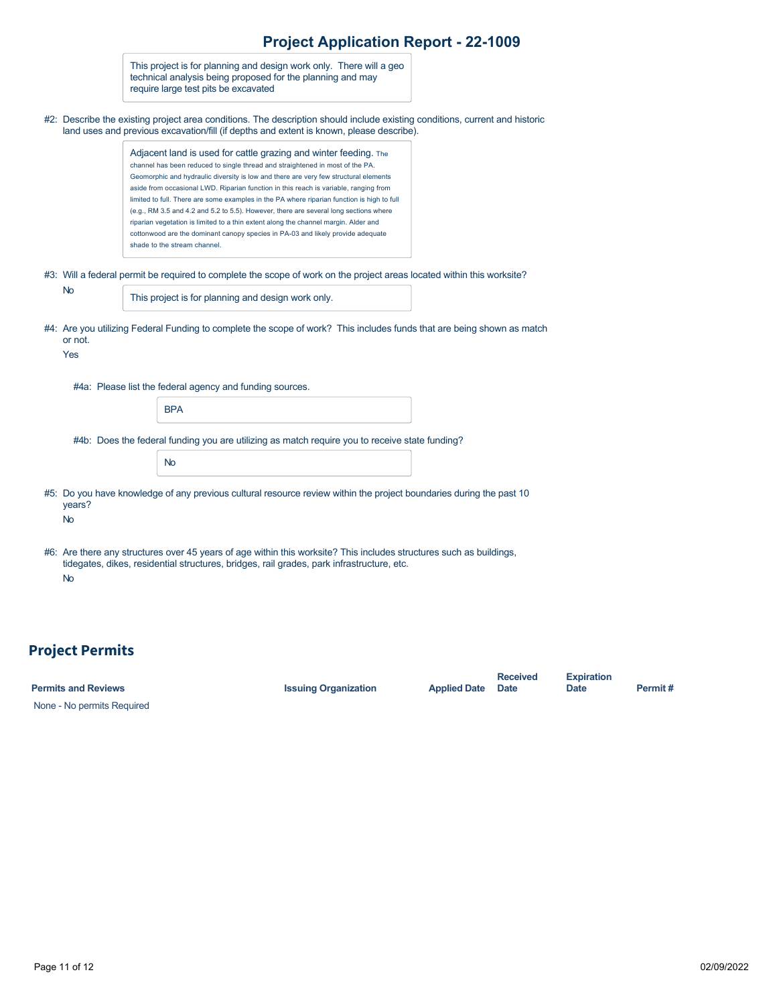|                     | This project is for planning and design work only. There will a geo<br>technical analysis being proposed for the planning and may<br>require large test pits be excavated                                                                                                                                                                                                                                                                                                                                                                                                                                                                                                                                                          |  |
|---------------------|------------------------------------------------------------------------------------------------------------------------------------------------------------------------------------------------------------------------------------------------------------------------------------------------------------------------------------------------------------------------------------------------------------------------------------------------------------------------------------------------------------------------------------------------------------------------------------------------------------------------------------------------------------------------------------------------------------------------------------|--|
|                     | #2: Describe the existing project area conditions. The description should include existing conditions, current and historic<br>land uses and previous excavation/fill (if depths and extent is known, please describe).                                                                                                                                                                                                                                                                                                                                                                                                                                                                                                            |  |
|                     | Adjacent land is used for cattle grazing and winter feeding. The<br>channel has been reduced to single thread and straightened in most of the PA.<br>Geomorphic and hydraulic diversity is low and there are very few structural elements<br>aside from occasional LWD. Riparian function in this reach is variable, ranging from<br>limited to full. There are some examples in the PA where riparian function is high to full<br>(e.g., RM 3.5 and 4.2 and 5.2 to 5.5). However, there are several long sections where<br>riparian vegetation is limited to a thin extent along the channel margin. Alder and<br>cottonwood are the dominant canopy species in PA-03 and likely provide adequate<br>shade to the stream channel. |  |
|                     | #3: Will a federal permit be required to complete the scope of work on the project areas located within this worksite?                                                                                                                                                                                                                                                                                                                                                                                                                                                                                                                                                                                                             |  |
| No                  | This project is for planning and design work only.                                                                                                                                                                                                                                                                                                                                                                                                                                                                                                                                                                                                                                                                                 |  |
| or not.<br>Yes      | #4: Are you utilizing Federal Funding to complete the scope of work? This includes funds that are being shown as match                                                                                                                                                                                                                                                                                                                                                                                                                                                                                                                                                                                                             |  |
|                     | #4a: Please list the federal agency and funding sources.                                                                                                                                                                                                                                                                                                                                                                                                                                                                                                                                                                                                                                                                           |  |
|                     | <b>BPA</b>                                                                                                                                                                                                                                                                                                                                                                                                                                                                                                                                                                                                                                                                                                                         |  |
|                     | #4b: Does the federal funding you are utilizing as match require you to receive state funding?                                                                                                                                                                                                                                                                                                                                                                                                                                                                                                                                                                                                                                     |  |
|                     | <b>No</b>                                                                                                                                                                                                                                                                                                                                                                                                                                                                                                                                                                                                                                                                                                                          |  |
| years?<br><b>No</b> | #5: Do you have knowledge of any previous cultural resource review within the project boundaries during the past 10                                                                                                                                                                                                                                                                                                                                                                                                                                                                                                                                                                                                                |  |
|                     | #6: Are there any structures over 45 years of age within this worksite? This includes structures such as buildings,<br>tidegates, dikes, residential structures, bridges, rail grades, park infrastructure, etc.                                                                                                                                                                                                                                                                                                                                                                                                                                                                                                                   |  |
| <b>No</b>           |                                                                                                                                                                                                                                                                                                                                                                                                                                                                                                                                                                                                                                                                                                                                    |  |
|                     |                                                                                                                                                                                                                                                                                                                                                                                                                                                                                                                                                                                                                                                                                                                                    |  |
|                     |                                                                                                                                                                                                                                                                                                                                                                                                                                                                                                                                                                                                                                                                                                                                    |  |

# **Project Permits**

| <b>Permits and Reviews</b> | <b>Issuing Organization</b> | <b>Applied Date</b> | <b>Received</b><br><b>Date</b> | <b>Expiration</b><br>Date | Permit# |
|----------------------------|-----------------------------|---------------------|--------------------------------|---------------------------|---------|
| None - No permits Required |                             |                     |                                |                           |         |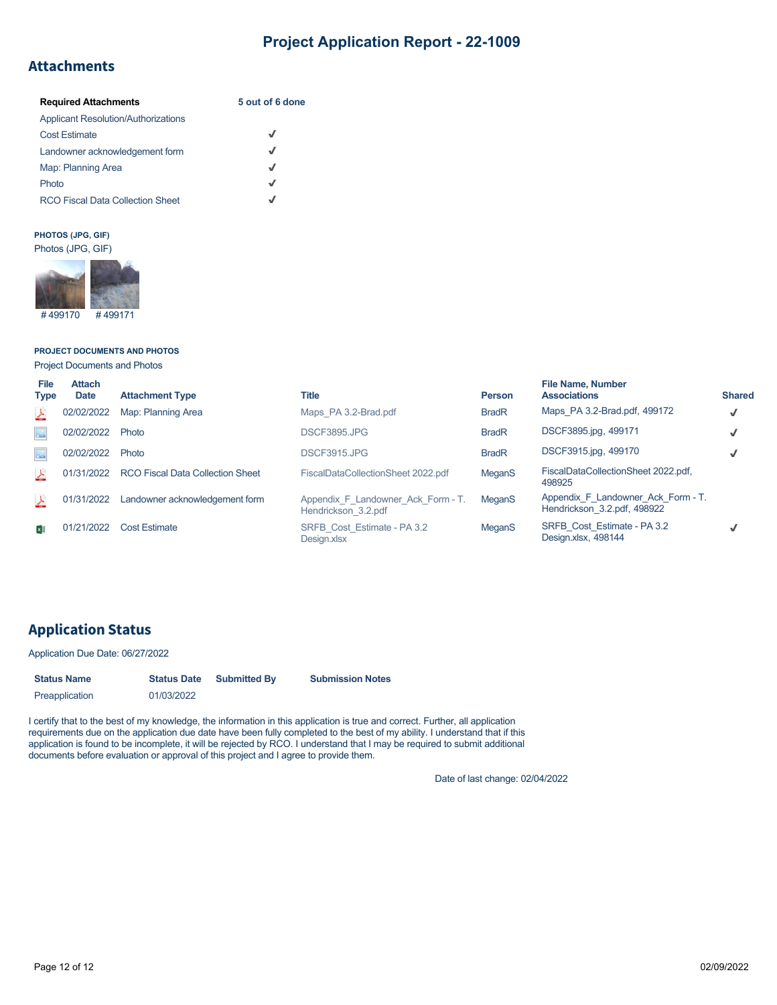## **Attachments**

| <b>Required Attachments</b>                | 5 out of 6 done |
|--------------------------------------------|-----------------|
| <b>Applicant Resolution/Authorizations</b> |                 |
| <b>Cost Estimate</b>                       | J               |
| Landowner acknowledgement form             | J               |
| Map: Planning Area                         | √               |
| Photo                                      | J               |
| <b>RCO Fiscal Data Collection Sheet</b>    | J               |

### **PHOTOS (JPG, GIF)**



**PROJECT DOCUMENTS AND PHOTOS**

Project Documents and Photos

| File<br><b>Type</b> | <b>Attach</b><br><b>Date</b> | <b>Attachment Type</b>                  | <b>Title</b>                                              | <b>Person</b> | <b>File Name, Number</b><br><b>Associations</b>                   | <b>Shared</b> |
|---------------------|------------------------------|-----------------------------------------|-----------------------------------------------------------|---------------|-------------------------------------------------------------------|---------------|
| 스                   | 02/02/2022                   | Map: Planning Area                      | Maps PA 3.2-Brad.pdf                                      | <b>BradR</b>  | Maps PA 3.2-Brad.pdf, 499172                                      | $\checkmark$  |
| $\triangle^{\circ}$ | 02/02/2022                   | Photo                                   | DSCF3895.JPG                                              | <b>BradR</b>  | DSCF3895.jpg, 499171                                              | J             |
| $\Delta^0$          | 02/02/2022                   | Photo                                   | DSCF3915.JPG                                              | <b>BradR</b>  | DSCF3915.jpg, 499170                                              | √             |
| 스                   | 01/31/2022                   | <b>RCO Fiscal Data Collection Sheet</b> | FiscalDataCollectionSheet 2022.pdf                        | MeganS        | FiscalDataCollectionSheet 2022.pdf,<br>498925                     |               |
| 스                   | 01/31/2022                   | Landowner acknowledgement form          | Appendix F Landowner Ack Form - T.<br>Hendrickson 3.2.pdf | <b>MeganS</b> | Appendix F Landowner Ack Form - T.<br>Hendrickson 3.2.pdf, 498922 |               |
| ×∏                  | 01/21/2022                   | <b>Cost Estimate</b>                    | SRFB Cost Estimate - PA 3.2<br>Design.xlsx                | <b>MeganS</b> | SRFB Cost Estimate - PA 3.2<br>Design.xlsx, 498144                |               |

## **Application Status**

#### Application Due Date: 06/27/2022

| <b>Status Name</b> | <b>Status Date</b> | <b>Submitted By</b> | <b>Submission Notes</b> |
|--------------------|--------------------|---------------------|-------------------------|
| Preapplication     | 01/03/2022         |                     |                         |

I certify that to the best of my knowledge, the information in this application is true and correct. Further, all application requirements due on the application due date have been fully completed to the best of my ability. I understand that if this application is found to be incomplete, it will be rejected by RCO. I understand that I may be required to submit additional documents before evaluation or approval of this project and I agree to provide them.

Date of last change: 02/04/2022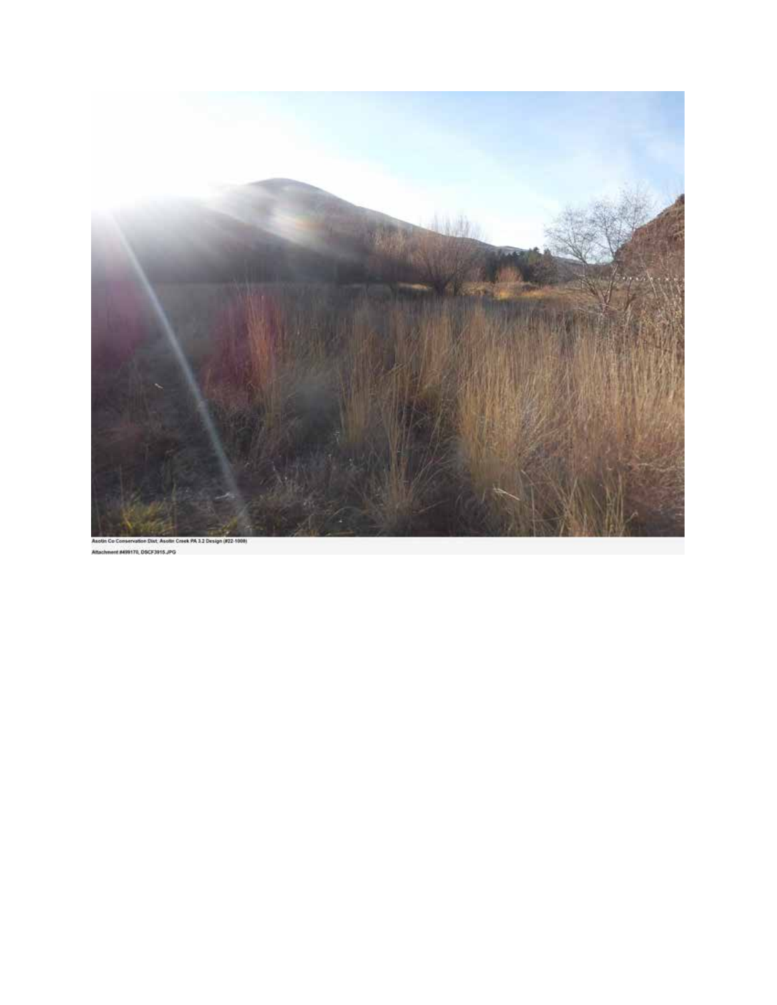

Int M99170, 0SCF3915.JPG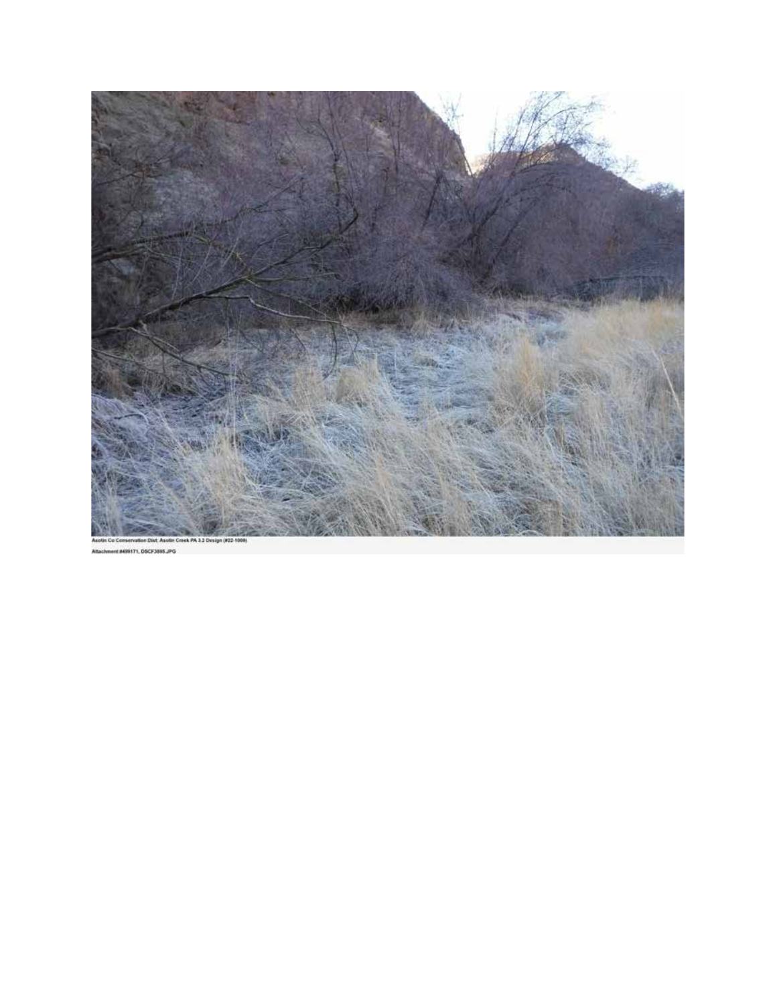

18899171, DSCF3895, IPG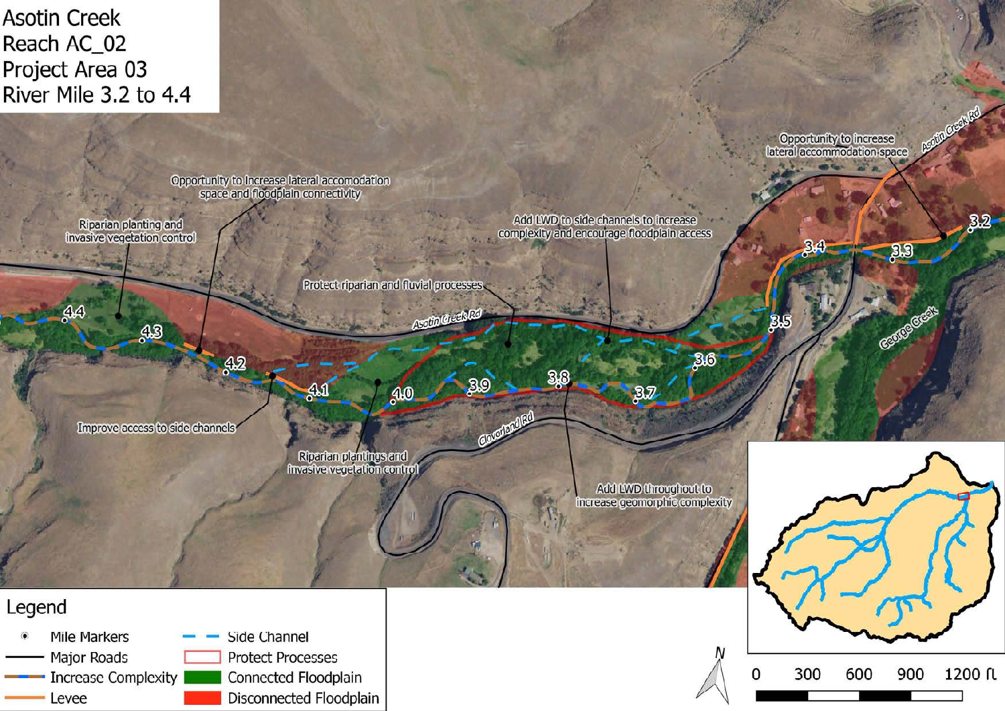**Asotin Creek** Reach AC\_02 Project Area 03 River Mile 3.2 to 4.4

Opportunity to increase<br>lateral accommodation space

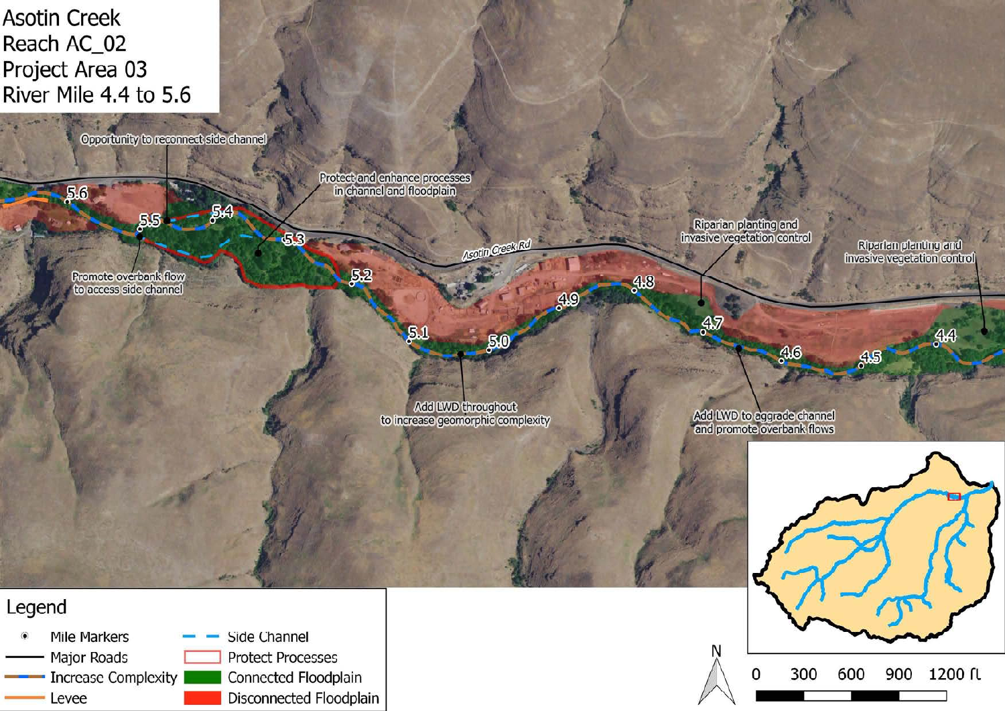**Asotin Creek** Reach AC\_02 Project Area 03 River Mile 4.4 to 5.6



300

0

600

900

1200 ft

Mile Markers Side Channel Major Roads **Protect Processes Increase Complexity** Connected Floodplain Disconnected Floodplain Levee